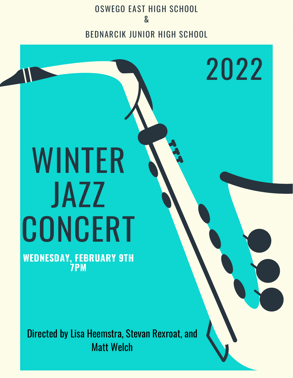OSWEGO EAST HIGH SCHOOL & BEDNARCIK JUNIOR HIGH SCHOOL

2022

# WINTER JAZZ **CONCERT**

**WEDNESDAY, FEBRUARY 9TH 7PM**

Directed by Lisa Heemstra, Stevan Rexroat, and Matt Welch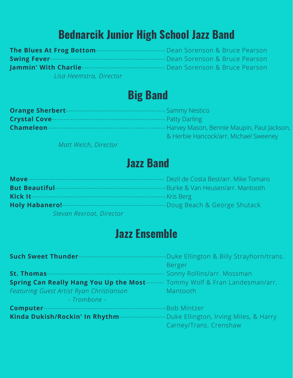## **Bednarcik Junior High School Jazz Band**

| <b>The Blues At Frog Bottom-</b> | - Dean Sorenson & Bruce Pearson  |
|----------------------------------|----------------------------------|
| <b>Swing Fever--</b>             | -Dean Sorenson & Bruce Pearson I |
| <b>Jammin' With Charlie-</b>     | Dean Sorenson & Bruce Pearson    |
| Lisa Heemstra, Director          |                                  |

### **Big Band**

| <b>Orange Sherbert-</b> | Sammy Nestico                              |
|-------------------------|--------------------------------------------|
| <b>Crystal Cove-</b>    | <b>Patty Darling</b>                       |
| <b>Chameleon-</b>       | Harvey Mason, Bennie Maupin, Paul Jackson, |
|                         | & Herbie Hancock/arr. Michael Sweeney      |

*Matt Welch, Director*

### **Jazz Band**

| Move-                    | Dezil de Costa Best/arr, Mike Tomaro |
|--------------------------|--------------------------------------|
| <b>But Beautiful-</b>    | -Burke & Van Heusen/arr. Mantooth    |
| Kick It-                 | - Kris Berg                          |
| <b>Holy Habanero!-</b>   | -Doug Beach & George Shutack         |
| Stevan Rexroat, Director |                                      |

### **Jazz Ensemble**

| <b>Such Sweet Thunder--</b><br>_________________________ | Duke Ellington & Billy Strayhorn/trans. |
|----------------------------------------------------------|-----------------------------------------|
|                                                          | Berger                                  |
| <b>St. Thomas</b>                                        | Sonny Rollins/arr. Mossman              |
| <b>Spring Can Really Hang You Up the Most--</b>          | Tommy Wolf & Fran Landesman/arr.        |
| Featuring Guest Artist Ryan Christianson                 | Mantooth                                |
| - Trombone -                                             |                                         |
| Computer-                                                | <b>Bob Mintzer</b>                      |
| Kinda Dukish/Rockin' In Rhythm                           | Duke Ellington, Irving Miles, & Harry   |
|                                                          | Carney/Trans. Crenshaw                  |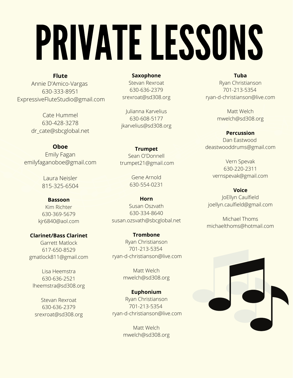# PRIVATE LESSONS

**Flute** Annie D'Amico-Vargas 630-333-8951 ExpressiveFluteStudio@gmail.com

> Cate Hummel 630-428-3278 dr\_cate@sbcglobal.net

#### **Oboe** Emily Fagan emilyfaganoboe@gmail.com

Laura Neisler 815-325-6504

**Bassoon** Kim Richter 630-369-5679 kjr6840@aol.com

**Clarinet/Bass Clarinet** Garrett Matlock 617-650-8529 gmatlock811@gmail.com

Lisa Heemstra 630-636-2521 [lheemstra@sd308.org](mailto:lheemstra@sd308.org)

Stevan Rexroat 630-636-2379 [srexroat@sd308.org](mailto:srexroat@sd308.org)

**Saxophone** Stevan Rexroat 630-636-2379 [srexroat@sd308.org](mailto:srexroat@sd308.org)

Julianna Karvelius 630-608-5177 [jkarvelius@sd308.org](mailto:jkarvelius@sd308.org)

**Trumpet** Sean O'Donnell trumpet21@gmail.com

> Gene Arnold 630-554-0231

**Horn** Susan Oszvath 630-334-8640 susan.ozsvath@sbcglobal.net

**Trombone** Ryan Christianson 701-213-5354 ryan-d-christianson@live.com

> Matt Welch mwelch@sd308.org

**Euphonium** Ryan Christianson 701-213-5354 ryan-d-christianson@live.com

> Matt Welch mwelch@sd308.org

#### **Tuba**

Ryan Christianson 701-213-5354 ryan-d-christianson@live.com

> Matt Welch mwelch@sd308.org

#### **Percussion**

Dan Eastwood deastwooddrums@gmail.com

Vern Spevak 630-220-2311 vernspevak@gmail.com

**Voice** JoEllyn Caulfield joellyn.caulfield@gmail.com

Michael Thoms michaelthoms@hotmail.com

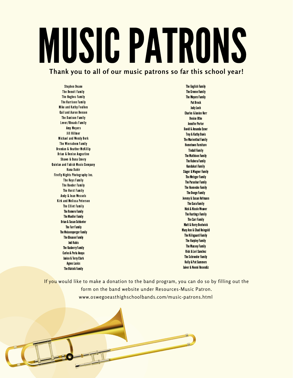# MUSICPATRONS

**Thank you to all of our music patrons so far this school year!**

Stephen Deane The Benoit Family The Hughes Family The Harrison Family Mike and Kathy Foulkes Gail and Aaron Benson The Danison Family Lever/Rhoads Family Amy Meyers Jill Hillmer Michael and Wendy Berk The Wierschem Family Brendan & Heather McKillip Brian & Denise Augustine Shawn & Dana Emery Quinlan and Fabish Music Company Hana Dahir Firefly Nights Photography Inc. The Keys Family The Roeder Family The Horst Family Andy & Jean Wessels Kirk and Melissa Peterson The Elliot Family **The Romero Family** The Mueller Family Brian & Susan Schlueter **The Farr Family** The Meixensperger Family **The Gleason Family Jodi Kubis The Rasberry Family** Carlos & Perla Anaya **Janice & Terry Clark Agnes Lasics The Blatnik Family** 

**The English Family The Greene Family The Meyers Family Pat Brock** JudyLoch **Charles & Janice Kerr Denise Uthe Jennifer Porter** David & Amanda Exner **Troy & Kathy Davis** The Marienthal Family **Hometown Furniture** Tindall Family **The Mathison Family The Kubera Family** Kandukuri Family Slager & Wagner Family The Metzger Family **The Parashar Family The Huenecke Family The Doege Family** Jeremy & Susan Hofmann **The Gara Family** Nick & Nicole Weaver **The Hastings Family The Carr Family Matt & Kerry Bostwick Mary Ann & Chad Reingold The Kiilsgaard Family The Harpley Family The Massey Family Rick & Lori Sanchez The Schroeder Family Kelly & Pat Summers** Jaiver & Noemi Resendiz

If you would like to make a donation to the band program, you can do so by filling out the form on the band website under Resources-Music Patron. www.oswegoeasthighschoolbands.com/music-patrons.html

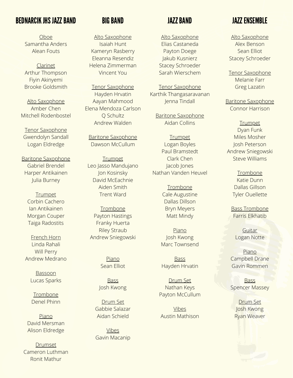#### BEDNARCIKJHSJAZZBAND JAZZBAND

Oboe Samantha Anders Alean Fouts

Clarinet Arthur Thompson Fiyin Akinyemi Brooke Goldsmith

Alto Saxophone Amber Chen Mitchell Rodenbostel

Tenor Saxophone Gwendolyn Sandall Logan Eldredge

Baritone Saxophone Gabriel Brendel Harper Antikainen Julia Burney

> **Trumpet** Corbin Cachero Ian Antikainen Morgan Couper Taiga Radostits

French Horn Linda Rahali Will Perry Andrew Medrano

> Bassoon Lucas Sparks

Trombone Denel Phinn

Piano David Mersman Alison Eldredge

Drumset Cameron Luthman Ronit Mathur

#### **BIG BAND**

Alto Saxophone Isaiah Hunt Kameryn Rasberry Eleanna Resendiz Helena Zimmerman Vincent You

Tenor Saxophone Hayden Hrvatin Aayan Mahmood Elena Mendoza Carlson Q Schultz Andrew Walden

Baritone Saxophone Dawson McCullum

**Trumpet** Leo Jasso Mandujano Jon Kosinsky David McEachnie Aiden Smith Trent Ward

**Trombone** Payton Hastings Franky Huerta Riley Straub Andrew Sniegowski

> Piano Sean Elliot

Bass Josh Kwong

Drum Set Gabbie Salazar Aidan Schield

Vibes Gavin Macanip

Alto Saxophone Elias Castaneda Payton Doege Jakub Kusnierz Stacey Schroeder Sarah Wierschem

Tenor Saxophone Karthik Thangasaravanan Jenna Tindall

Baritone Saxophone Aidan Collins

**Trumpet** Logan Boyles Paul Bramstedt Clark Chen Jacob Jones Nathan Vanden Heuvel

> Trombone Cale Augustine Dallas Dillson Bryn Meyers Matt Mindy

Piano Josh Kwong Marc Townsend

**Bass** Hayden Hrvatin

Drum Set Nathan Keys Payton McCullum

Vibes Austin Mathison

#### JAZZ ENSEMBLE

Alto Saxophone Alex Benson Sean Elliot Stacey Schroeder

Tenor Saxophone Melanie Farr Greg Lazatin

Baritone Saxophone Connor Harrison

Trumpet Dyan Funk Miles Mosher Josh Peterson Andrew Sniegowski Steve Williams

> **Trombone** Katie Dunn Dallas Gillson Tyler Ouellette

Bass Trombone Farris Elkhatib

**Guitar** Logan Notte

Piano Campbell Drane Gavin Rommen

**Bass** Spencer Massey

Drum Set Josh Kwong Ryan Weaver